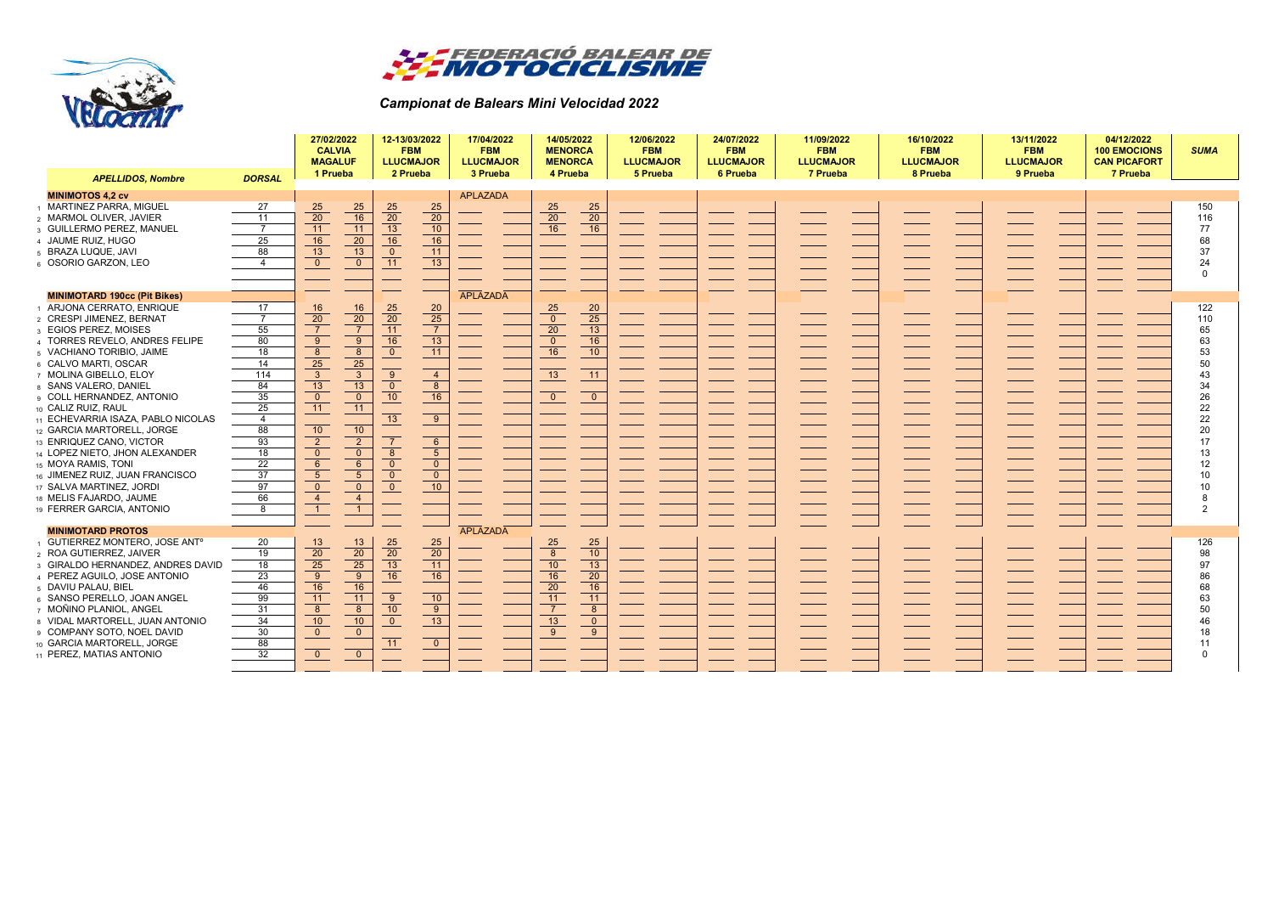



## *Campionat de Balears Mini Velocidad 2022*

|                                          |                | 27/02/2022<br><b>CALVIA</b><br><b>MAGALUF</b><br>1 Prueba |                 | 12-13/03/2022<br><b>FBM</b><br><b>LLUCMAJOR</b><br>2 Prueba                           |                                                                                      | 17/04/2022<br><b>FBM</b><br><b>LLUCMAJOR</b><br>3 Prueba | 14/05/2022<br><b>MENORCA</b><br><b>MENORCA</b><br>4 Prueba |                          | 12/06/2022<br><b>FBM</b><br><b>LLUCMAJOR</b><br>5 Prueba | 24/07/2022<br><b>FBM</b><br><b>LLUCMAJOR</b><br>6 Prueba | 11/09/2022<br><b>FBM</b><br><b>LLUCMAJOR</b><br>7 Prueba | 16/10/2022<br><b>FBM</b><br><b>LLUCMAJOR</b><br>8 Prueba | 13/11/2022<br><b>FBM</b><br><b>LLUCMAJOR</b><br>9 Prueba | 04/12/2022<br><b>100 EMOCIONS</b><br><b>CAN PICAFORT</b><br>7 Prueba | <b>SUMA</b>    |
|------------------------------------------|----------------|-----------------------------------------------------------|-----------------|---------------------------------------------------------------------------------------|--------------------------------------------------------------------------------------|----------------------------------------------------------|------------------------------------------------------------|--------------------------|----------------------------------------------------------|----------------------------------------------------------|----------------------------------------------------------|----------------------------------------------------------|----------------------------------------------------------|----------------------------------------------------------------------|----------------|
| <b>APELLIDOS, Nombre</b>                 | <b>DORSAL</b>  |                                                           |                 |                                                                                       |                                                                                      |                                                          |                                                            |                          |                                                          |                                                          |                                                          |                                                          |                                                          |                                                                      |                |
| <b>MINIMOTOS 4.2 cv</b>                  |                |                                                           |                 |                                                                                       |                                                                                      | <b>APLAZADA</b>                                          |                                                            |                          |                                                          |                                                          |                                                          |                                                          |                                                          |                                                                      |                |
| <b>MARTINEZ PARRA, MIGUEL</b>            | 27             | 25                                                        | 25              | $\begin{array}{r}\n 25 \\  \hline\n 20 \\  \hline\n 13 \\  \hline\n 16\n \end{array}$ | $\frac{25}{20}$                                                                      |                                                          | 25                                                         | 25                       |                                                          |                                                          |                                                          |                                                          |                                                          |                                                                      | 150            |
| MARMOL OLIVER, JAVIER                    | 11             | $\overline{20}$                                           | 16              |                                                                                       |                                                                                      |                                                          | $\overline{20}$                                            | $\overline{20}$          |                                                          |                                                          |                                                          |                                                          |                                                          |                                                                      | 116            |
| <b>GUILLERMO PEREZ, MANUEL</b>           | $\overline{7}$ | 11                                                        | 11              |                                                                                       | 10                                                                                   |                                                          | 16                                                         | 16                       |                                                          |                                                          |                                                          |                                                          |                                                          |                                                                      | 77             |
| 4 JAUME RUIZ, HUGO                       | 25             | 16                                                        | 20              |                                                                                       | $\frac{16}{11}$                                                                      |                                                          |                                                            |                          |                                                          |                                                          |                                                          |                                                          |                                                          |                                                                      | 68             |
| BRAZA LUQUE, JAVI                        | 88             | 13                                                        | 13              |                                                                                       |                                                                                      |                                                          |                                                            |                          |                                                          |                                                          |                                                          |                                                          |                                                          |                                                                      | 37             |
| OSORIO GARZON, LEO                       | $\overline{4}$ | $\overline{0}$                                            | $\mathbf{0}$    | $\begin{array}{c}\n0 \\ 11\n\end{array}$                                              | $\overline{13}$                                                                      |                                                          |                                                            |                          |                                                          |                                                          |                                                          |                                                          |                                                          |                                                                      | 24             |
|                                          |                |                                                           |                 |                                                                                       |                                                                                      |                                                          |                                                            |                          |                                                          |                                                          |                                                          |                                                          |                                                          |                                                                      | $\Omega$       |
|                                          |                |                                                           |                 |                                                                                       |                                                                                      |                                                          |                                                            |                          |                                                          |                                                          |                                                          |                                                          |                                                          |                                                                      |                |
| <b>MINIMOTARD 190cc (Pit Bikes)</b>      |                |                                                           |                 |                                                                                       |                                                                                      | APLAZADA                                                 |                                                            |                          |                                                          |                                                          |                                                          |                                                          |                                                          |                                                                      |                |
| ARJONA CERRATO, ENRIQUE                  | 17             | 16                                                        | 16              |                                                                                       | $\begin{array}{r}\n 20 \\  \hline\n 25 \\  \hline\n 7 \\  \hline\n 13\n \end{array}$ |                                                          | 25                                                         | 20                       |                                                          |                                                          |                                                          |                                                          |                                                          |                                                                      | 122            |
| <b>CRESPI JIMENEZ, BERNAT</b>            | $\overline{7}$ | $\overline{20}$                                           | $\overline{20}$ | $\frac{25}{20}$                                                                       |                                                                                      |                                                          | $\overline{0}$                                             | 25                       |                                                          |                                                          |                                                          |                                                          |                                                          |                                                                      | 110            |
| <b>EGIOS PEREZ, MOISES</b>               | 55             | $\overline{7}$                                            | $\overline{7}$  | 11                                                                                    |                                                                                      |                                                          | 20                                                         | 13                       |                                                          |                                                          |                                                          |                                                          |                                                          |                                                                      | 65             |
| <b>TORRES REVELO, ANDRES FELIPE</b>      | 80             | $\overline{9}$                                            | 9               | 16                                                                                    |                                                                                      |                                                          | $\mathbf{0}$                                               | $\overline{16}$          |                                                          |                                                          |                                                          |                                                          |                                                          |                                                                      | 63             |
| 5 VACHIANO TORIBIO, JAIME                | 18             | $\overline{\mathbf{8}}$                                   | 8               | $\overline{0}$                                                                        | $-11$                                                                                |                                                          | 16                                                         | 10                       |                                                          |                                                          |                                                          |                                                          |                                                          |                                                                      | 53             |
| CALVO MARTI, OSCAR                       | 14             | $\frac{1}{25}$                                            | 25              |                                                                                       |                                                                                      |                                                          |                                                            |                          |                                                          |                                                          |                                                          |                                                          |                                                          |                                                                      | 50             |
| 7 MOLINA GIBELLO, ELOY                   | 114            | $\overline{\mathbf{3}}$                                   | $\sqrt{3}$      |                                                                                       | $\overline{4}$                                                                       |                                                          | 13                                                         | 11                       |                                                          |                                                          |                                                          |                                                          |                                                          |                                                                      | 43             |
| SANS VALERO, DANIEL                      | 84             | $\overline{13}$                                           | 13              | $\begin{array}{c}\n9 \\ 0\n\end{array}$                                               | $\overline{\phantom{0}}$ 8                                                           |                                                          |                                                            |                          |                                                          |                                                          |                                                          |                                                          |                                                          |                                                                      | 34             |
| COLL HERNANDEZ, ANTONIO                  | 35             | $\overline{0}$                                            | $\overline{0}$  | 10                                                                                    | $\overline{16}$                                                                      |                                                          | $\mathbf{0}$                                               | $\mathbf{0}$             |                                                          |                                                          |                                                          |                                                          |                                                          |                                                                      | 26             |
| 10 CALIZ RUIZ, RAUL                      | 25             | $\overline{11}$                                           | 11              |                                                                                       |                                                                                      |                                                          |                                                            |                          |                                                          |                                                          |                                                          |                                                          |                                                          |                                                                      | 22             |
| 11 ECHEVARRIA ISAZA, PABLO NICOLAS       | $\overline{4}$ |                                                           |                 | $\overline{13}$                                                                       | 9                                                                                    |                                                          |                                                            |                          |                                                          |                                                          |                                                          |                                                          |                                                          |                                                                      | 22             |
| 12 GARCIA MARTORELL, JORGE               | 88             | 10                                                        | 10              |                                                                                       |                                                                                      |                                                          |                                                            |                          |                                                          |                                                          |                                                          |                                                          |                                                          |                                                                      | 20             |
| 13 ENRIQUEZ CANO, VICTOR                 | 93             | $\overline{2}$                                            | $\overline{2}$  | $\overline{7}$                                                                        | $6\overline{6}$                                                                      |                                                          |                                                            |                          |                                                          |                                                          |                                                          |                                                          |                                                          |                                                                      | 17             |
| 14 LOPEZ NIETO, JHON ALEXANDER           | 18             | $\overline{0}$                                            | $\mathbf{0}$    |                                                                                       |                                                                                      |                                                          |                                                            |                          |                                                          |                                                          |                                                          |                                                          |                                                          |                                                                      | 13             |
| 15 MOYA RAMIS, TONI                      | 22             | $6\overline{6}$                                           | $6\overline{6}$ | $\begin{array}{c} 8 \\ 0 \end{array}$                                                 | $\begin{array}{c} 5 \\ 0 \end{array}$                                                |                                                          |                                                            |                          |                                                          |                                                          |                                                          |                                                          |                                                          |                                                                      | 12             |
| 16 JIMENEZ RUIZ, JUAN FRANCISCO          | 37             | $\overline{5}$                                            | $5\overline{)}$ | $\overline{0}$                                                                        | $\overline{0}$                                                                       |                                                          |                                                            |                          |                                                          |                                                          |                                                          |                                                          |                                                          |                                                                      | 10             |
| 17 SALVA MARTINEZ, JORDI                 | 97             | $\overline{0}$                                            | $\overline{0}$  | $\overline{0}$                                                                        | $\frac{6}{10}$                                                                       |                                                          |                                                            |                          |                                                          |                                                          |                                                          |                                                          |                                                          |                                                                      | 10             |
| 18 MELIS FAJARDO, JAUME                  | 66             | $\overline{4}$                                            | $\overline{4}$  |                                                                                       |                                                                                      |                                                          |                                                            |                          |                                                          |                                                          |                                                          |                                                          |                                                          |                                                                      | 8              |
| 19 FERRER GARCIA, ANTONIO                | 8              | $\overline{1}$                                            | $\mathbf{1}$    |                                                                                       |                                                                                      |                                                          |                                                            |                          |                                                          |                                                          |                                                          |                                                          |                                                          |                                                                      | $\overline{2}$ |
|                                          |                |                                                           |                 |                                                                                       |                                                                                      |                                                          |                                                            |                          |                                                          |                                                          |                                                          |                                                          |                                                          |                                                                      |                |
| <b>MINIMOTARD PROTOS</b>                 |                |                                                           |                 |                                                                                       |                                                                                      | APLAZADA                                                 |                                                            |                          |                                                          |                                                          |                                                          |                                                          |                                                          |                                                                      |                |
| GUTIERREZ MONTERO, JOSE ANT <sup>o</sup> | 20             |                                                           |                 |                                                                                       |                                                                                      |                                                          | 25                                                         | 25                       |                                                          |                                                          |                                                          |                                                          |                                                          |                                                                      | 126            |
| <b>ROA GUTIERREZ, JAIVER</b>             | 19             | $\frac{13}{20}$                                           | $\frac{13}{20}$ | $\begin{array}{r} 25 \\ 20 \\ \hline 13 \end{array}$                                  | $\frac{25}{20}$                                                                      |                                                          | $\overline{8}$                                             | 10                       |                                                          |                                                          |                                                          |                                                          |                                                          |                                                                      | 98             |
| GIRALDO HERNANDEZ, ANDRES DAVID          | 18             | $\overline{25}$                                           | 25              |                                                                                       | $-11$                                                                                |                                                          | 10                                                         | $\overline{13}$          |                                                          |                                                          |                                                          |                                                          |                                                          |                                                                      | 97             |
| PEREZ AGUILO, JOSE ANTONIO               | 23             | $\overline{9}$                                            | 9               | 16                                                                                    | 16                                                                                   |                                                          | 16                                                         | 20                       |                                                          |                                                          |                                                          |                                                          |                                                          |                                                                      | 86             |
| DAVIU PALAU, BIEL                        | 46             | 16                                                        | 16              |                                                                                       |                                                                                      |                                                          | 20                                                         | 16                       |                                                          |                                                          |                                                          |                                                          |                                                          |                                                                      | 68             |
| SANSO PERELLO, JOAN ANGEL                | 99             | 11                                                        | 11              | $\begin{array}{c}\n\overline{9} \\ \overline{10}\n\end{array}$                        | 10                                                                                   |                                                          | 11                                                         | $\overline{11}$          |                                                          |                                                          |                                                          |                                                          |                                                          |                                                                      | 63             |
| 7 MOÑINO PLANIOL, ANGEL                  | 31             | $\overline{8}$                                            | 8               |                                                                                       | $\overline{9}$                                                                       |                                                          | $\overline{7}$                                             | $\overline{8}$           |                                                          |                                                          |                                                          |                                                          |                                                          |                                                                      | 50             |
| VIDAL MARTORELL, JUAN ANTONIO            | 34             | 10                                                        | 10              | $\overline{\ }$ 0                                                                     | $\overline{13}$                                                                      |                                                          | 13                                                         | $\overline{\phantom{0}}$ |                                                          |                                                          |                                                          |                                                          |                                                          |                                                                      | 46             |
| COMPANY SOTO, NOEL DAVID                 | 30             | $\overline{0}$                                            | $\mathbf{0}$    |                                                                                       |                                                                                      |                                                          | 9                                                          | 9                        |                                                          |                                                          |                                                          |                                                          |                                                          |                                                                      | 18             |
| 10 GARCIA MARTORELL, JORGE               | 88             |                                                           |                 | 11                                                                                    | $\overline{0}$                                                                       |                                                          |                                                            |                          |                                                          |                                                          |                                                          |                                                          |                                                          |                                                                      | 11             |
| 11 PEREZ. MATIAS ANTONIO                 | 32             | $\overline{0}$                                            | $\overline{0}$  |                                                                                       |                                                                                      |                                                          |                                                            |                          |                                                          |                                                          |                                                          |                                                          |                                                          |                                                                      | $\Omega$       |
|                                          |                |                                                           |                 |                                                                                       |                                                                                      |                                                          |                                                            |                          |                                                          |                                                          |                                                          |                                                          |                                                          |                                                                      |                |